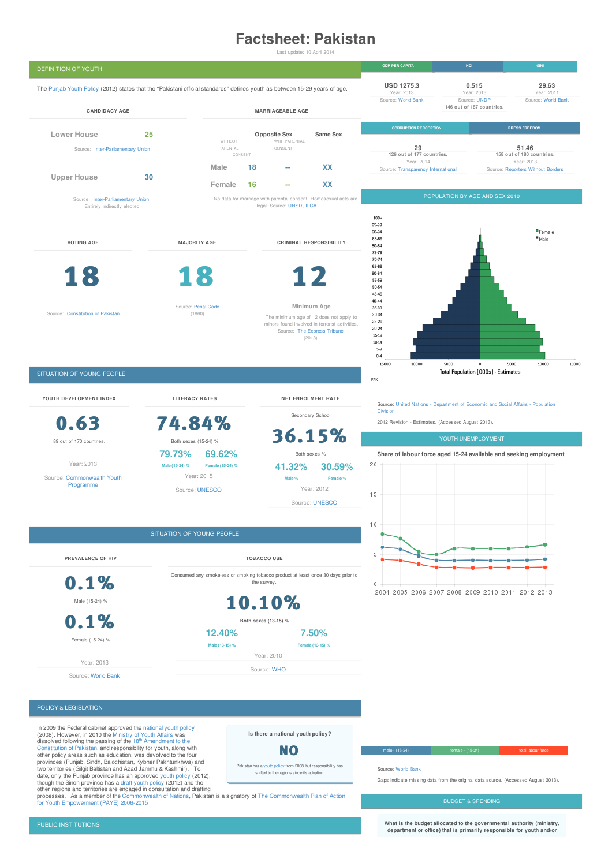## **Factsheet: Pakistan**

Last update: 10 April 2014



shifted to the regions since its adoption.

two territories (Gilgit Baltistan and Azad Jammu & Kashmir). To date, only the Punjab province has an approved [youth](http://www.youthpolicy.org/wp-content/uploads/library/Pakistan_Sindh_2012_Draft_Youth_Policy_eng.pdf) policy (2012),<br>though the Sindh province has a draft youth policy (2012) and the other regions and territories are engaged in consultation and drafting

particulation and draining<br>ealth of Nations, Pakistan is a signatory of The [Commonwealth](http://www.youthpolicy.org/library/wp-content/uploads/library/2006_Commonwealth_PAYE_Eng.pdf) Plan of Action for Youth Empowerment (PAYE) 2006-2015

**What is the budget allocated to the governmental authority (ministry, department or office) that is primarily responsible for youth and/or**

Gaps indicate missing data from the original data source. (Accessed August 2013).